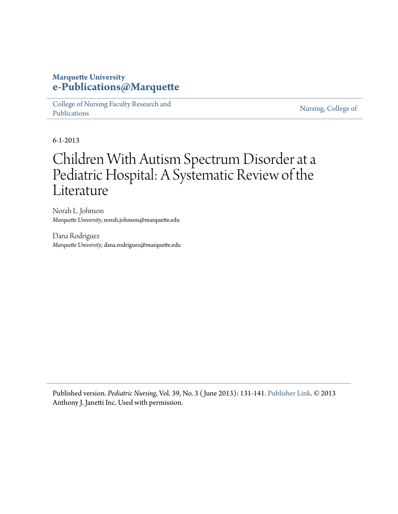# **Marquette University [e-Publications@Marquette](https://epublications.marquette.edu)**

[College of Nursing Faculty Research and](https://epublications.marquette.edu/nursing_fac) [Publications](https://epublications.marquette.edu/nursing_fac)

[Nursing, College of](https://epublications.marquette.edu/nursing)

6-1-2013

# Children With Autism Spectrum Disorder at a Pediatric Hospital: A Systematic Review of the Literature

Norah L. Johnson *Marquette University*, norah.johnson@marquette.edu

Dana Rodriguez *Marquette University*, dana.rodriguez@marquette.edu

Published version. *Pediatric Nursing*, Vol. 39, No. 3 ( June 2013): 131-141. [Publisher Link.](http://www.pediatricnursing.net/issues/13mayjun/abstr3.html) © 2013 Anthony J. Janetti Inc. Used with permission.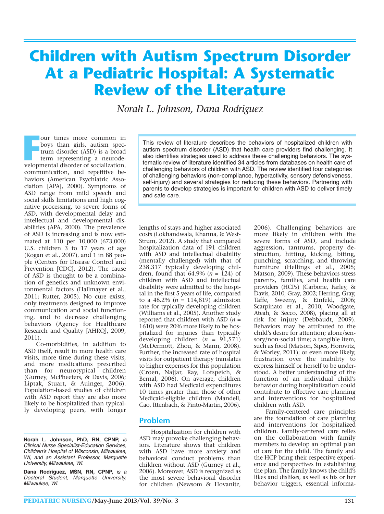# **Children with Autism Spectrum Disorder At a Pediatric Hospital: A Systematic Review of the Literature**

*Norah L. Johnson, Dana Rodriguez*

our times more common in<br>
boys than girls, autism spec-<br>
trum disorder (ASD) is a broad<br>
term representing a neurode-<br>
velopmental disorder of socialization, our times more common in boys than girls, autism spectrum disorder (ASD) is a broad term representing a neurodecommunication, and repetitive behaviors (American Psychiatric Association [APA], 2000). Symptoms of ASD range from mild speech and social skills limitations and high cognitive processing, to severe forms of ASD, with developmental delay and intellectual and developmental disabilities (APA, 2000). The prevalence of ASD is increasing and is now estimated at 110 per 10,000 (673,000) U.S. children 3 to 17 years of age (Kogan et al., 2007), and 1 in 88 people (Centers for Disease Control and Prevention [CDC], 2012). The cause of ASD is thought to be a combination of genetics and unknown environmental factors (Hallmayer et al., 2011; Rutter, 2005). No cure exists, only treatments designed to improve communication and social functioning, and to decrease challenging behaviors (Agency for Healthcare Research and Quality [AHRQ], 2009, 2011).

Co-morbidities, in addition to ASD itself, result in more health care visits, more time during these visits, and more medications prescribed than for neurotypical children (Gurney, McPheeters, & Davis, 2006; Liptak, Stuart, & Auinger, 2006). Population-based studies of children with ASD report they are also more likely to be hospitalized than typically developing peers, with longer

This review of literature describes the behaviors of hospitalized children with autism spectrum disorder (ASD) that health care providers find challenging. It also identifies strategies used to address these challenging behaviors. The systematic review of literature identified 34 articles from databases on health care of challenging behaviors of children with ASD. The review identified four categories of challenging behaviors (non-compliance, hyperactivity, sensory defensiveness, self-injury) and several strategies for reducing these behaviors. Partnering with parents to develop strategies is important for children with ASD to deliver timely and safe care.

lengths of stays and higher associated costs (Lokhandwala, Khanna, & West-Strum, 2012). A study that compared hospitalization data of 191 children with ASD and intellectual disability (mentally challenged) with that of 238,317 typically developing children, found that 64.9% (*n* = 124) of children with ASD and intellectual disability were admitted to the hospital in the first 5 years of life, compared to a 48.2% ( $n = 114,819$ ) admission rate for typically developing children (Williams et al., 2005). Another study reported that children with ASD (*n* = 1610) were 20% more likely to be hospitalized for injuries than typically developing children  $(n = 91,571)$ (McDermott, Zhou, & Mann, 2008). Further, the increased rate of hospital visits for outpatient therapy translates to higher expenses for this population (Croen, Najjar, Ray, Lotspeich, & Bernal, 2006). On average, children with ASD had Medicaid expenditures 10 times greater than those of other Medicaid-eligible children (Mandell, Cao, Ittenbach, & Pinto-Martin, 2006).

### **Problem**

Hospitalization for children with ASD may provoke challenging behaviors. Literature shows that children with ASD have more anxiety and behavioral conduct problems than children without ASD (Gurney et al., 2006). Moreover, ASD is recognized as the most severe behavioral disorder for children (Newsom & Hovanitz,

2006). Challenging behaviors are more likely in children with the severe forms of ASD, and include aggression, tantrums, property destruction, hitting, kicking, biting, punching, scratching, and throwing furniture (Hellings et al., 2005; Matson, 2009). These behaviors stress parents, families, and health care providers (HCPs) (Carbone, Farley, & Davis, 2010; Gray, 2002; Herring, Gray, Taffe, Sweeny, & Einfeld, 2006; Scarpinato et al., 2010; Woodgate, Ateah, & Secco, 2008), placing all at risk for injury (Debbaudt, 2009). Behaviors may be attributed to the child's desire for attention; alone/sensory/non-social time; a tangible item, such as food (Matson, Sipes, Horovitz, & Worley, 2011); or even more likely, frustration over the inability to express himself or herself to be understood. A better understanding of the function of an individual child's behavior during hospitalization could contribute to effective care planning and interventions for hospitalized children with ASD.

Family-centered care principles are the foundation of care planning and interventions for hospitalized children. Family-centered care relies on the collaboration with family members to develop an optimal plan of care for the child. The family and the HCP bring their respective experience and perspectives in establishing the plan. The family knows the child's likes and dislikes, as well as his or her behavior triggers, essential informa-

**Norah L. Johnson, PhD, RN, CPNP,** is Clinical Nurse Specialist-Education Services, Children's Hospital of Wisconsin, Milwaukee, WI, and an Assistant Professor, Marquette University, Milwaukee, WI.

**Dana Rodriguez, MSN, RN, CPNP,** is a Doctoral Student, Marquette University, Milwaukee, WI.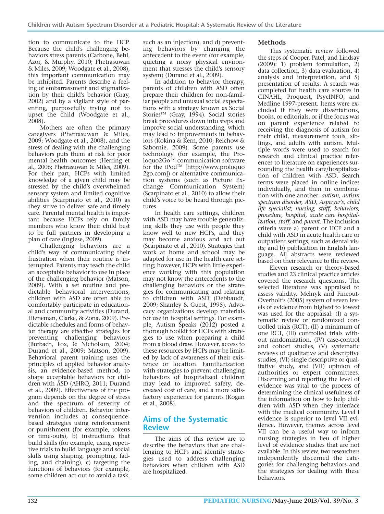tion to communicate to the HCP. Because the child's challenging be haviors stress parents (Carbone, Behl, Azor, & Murphy, 2010; Phetrasuwan & Miles, 2009; Woodgate et al., 2008), this important communication may be inhibited. Parents describe a feeling of embarrassment and stigmatization by their child's behavior (Gray, 2002) and by a vigilant style of parenting, purposefully trying not to upset the child (Woodgate et al., 2008).

Mothers are often the primary caregivers (Phetrasuwan & Miles, 2009; Woodgate et al., 2008), and the stress of dealing with the challenging behaviors puts them at risk for poor mental health outcomes (Herring et al., 2006; Phetrasuwan & Miles, 2009). For their part, HCPs with limited knowledge of a given child may be stressed by the child's overwhelmed sensory system and limited cognitive abilities (Scarpinato et al., 2010) as they strive to deliver safe and timely care. Parental mental health is important because HCPs rely on family members who know their child best to be full partners in developing a plan of care (Inglese, 2009).

Challenging behaviors are a child's way of communicating their frustration when their routine is interrupted. Parents may teach the child an acceptable behavior to use in place of the challenging behavior (Matson, 2009). With a set routine and predictable behavioral interventions, children with ASD are often able to comfortably participate in educational and community activities (Durand, Hieneman, Clarke, & Zona, 2009). Pre dictable schedules and forms of behavior therapy are effective strategies for preventing challenging behaviors (Burbach, Fox, & Nicholson, 2004; Durand et al., 2009; Matson, 2009). Behavioral parent training uses the principles of applied behavior analysis, an evidence-based method, to shape acceptable behaviors for children with ASD (AHRQ, 2011; Durand et al., 2009). Effectiveness of the program depends on the degree of stress and the spectrum of severity of behaviors of children. Behavior intervention includes a) consequencebased strategies using reinforcement or punishment (for example, tokens or time-outs), b) instructions that build skills (for example, using repetitive trials to build language and social skills using shaping, prompting, fading, and chaining), c) targeting the functions of behaviors (for example, some children act out to avoid a task,

such as an injection), and d) preventing behaviors by changing the antecedent to the event (for example, quieting a noisy physical environment that stresses the child's sensory system) (Durand et al., 2009).

In addition to behavior therapy, parents of children with ASD often prepare their children for non-familiar people and unusual social expectations with a strategy known as Social Stories<sup>TM</sup> (Gray, 1994). Social stories break procedures down into steps and improve social understanding, which may lead to improvements in behaviors (Kokina & Kern, 2010; Reichow & Sabornie, 2009). Some parents use technology (for example, the Proloquo2Go $^{\text{\tiny{\textsf{TM}}}}$  communication software for the iPod<sup>TM</sup> [http://www.proloquo 2go.com]) or alternative communication systems (such as Picture Exchange Communication System) (Scarpinato et al., 2010) to allow their child's voice to be heard through pictures.

In health care settings, children with ASD may have trouble generalizing skills they use with people they know well to new HCPs, and they may become anxious and act out (Scarpinato et al., 2010). Strategies that work at home and school may be adapted for use in the health care setting; however, HCPs with little experience working with this population may not know the antecedents to the challenging behaviors or the strategies for communicating and relating to children with ASD (Debbaudt, 2009; Shanley & Guest, 1995). Advocacy organizations develop materials for use in hospital settings. For example, Autism Speaks (2012) posted a thorough toolkit for HCPs with strategies to use when preparing a child from a blood draw. However, access to these resources by HCPs may be limited by lack of awareness of their existence or location. Familiarization with strategies to prevent challenging behaviors of hospitalized children may lead to improved safety, decreased cost of care, and a more satisfactory experience for parents (Kogan et al., 2008).

### **Aims of the Systematic Review**

The aims of this review are to describe the behaviors that are challenging to HCPs and identify strategies used to address challenging behaviors when children with ASD are hospitalized.

#### **Methods**

This systematic review followed the steps of Cooper, Patel, and Lindsay (2009): 1) problem formulation, 2) data collection, 3) data evaluation, 4) analysis and interpretation, and 5) presentation of results. A search was completed for health care sources in CINAHL, Proquest, PsycINFO, and Medline 1997-present. Items were excluded if they were dissertations, books, or editorials, or if the focus was on parent experience related to receiving the diagnosis of autism for their child, measurement tools, siblings, and adults with autism. Multiple words were used to search for research and clinical practice references to literature on experiences surrounding the health care/hospitalization of children with ASD. Search terms were placed in online indices individually, and then in combination with one another: *autism, autism spectrum disorder, ASD, Asperger's, child life specialist, nursing, staff, behaviors, procedure, hospital, acute care hospitalization, staff,* and *parent*. The inclusion criteria were a) parent or HCP and a child with ASD in acute health care or outpatient settings, such as dental visits; and b) publication in English language. All abstracts were reviewed based on their relevance to the review.

Eleven research or theory-based studies and 23 clinical practice articles covered the research questions. The selected literature was appraised to assess validity. Melnyk and Fineout-Overholt's (2005) system of seven levels of evidence from highest to lowest was used for the appraisal: (I) a systematic review or randomized controlled trials (RCT), (II) a minimum of one RCT, (III) controlled trials without randomization, (IV) case-control and cohort studies, (V) systematic reviews of qualitative and descriptive studies, (VI) single descriptive or qualitative study, and (VII) opinion of authorities or expert committees. Discerning and reporting the level of evidence was vital to the process of determining the clinical usefulness of the information on how to help children with ASD when they interface with the medical community. Level I evidence is superior to level VII evidence. However, themes across level VII can be a useful way to inform nursing strategies in lieu of higher level of evidence studies that are not available. In this review, two researchers independently discerned the categories for challenging behaviors and the strategies for dealing with these behaviors.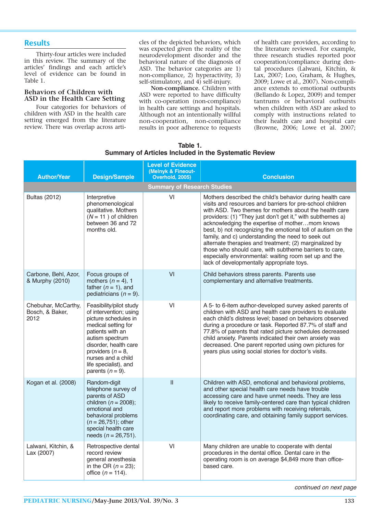# **Results**

Thirty-four articles were included in this review. The summary of the articles' findings and each article's level of evidence can be found in Table 1.

#### **Behaviors of Children with ASD in the Health Care Setting**

Four categories for behaviors of children with ASD in the health care setting emerged from the literature review. There was overlap across articles of the depicted behaviors, which was expected given the reality of the neurodevelopment disorder and the behavioral nature of the diagnosis of ASD. The behavior categories are 1) non-compliance, 2) hyperactivity, 3) self-stimulatory, and 4) self-injury.

**Non-compliance.** Children with ASD were reported to have difficulty with co-operation (non-compliance) in health care settings and hospitals. Although not an intentionally willful non-cooperation, non-compliance results in poor adherence to requests of health care providers, according to the literature reviewed. For example, three research studies reported poor cooperation/compliance during dental procedures (Lalwani, Kitchin, & Lax, 2007; Loo, Graham, & Hughes, 2009; Lowe et al., 2007). Non-compliance extends to emotional outbursts (Bellando & Lopez, 2009) and temper tantrums or behavioral outbursts when children with ASD are asked to comply with instructions related to their health care and hospital care (Browne, 2006; Lowe et al. 2007;

#### **Table 1. Summary of Articles Included in the Systematic Review**

| <b>Author/Year</b>                             | <b>Design/Sample</b>                                                                                                                                                                                                                                            | <b>Level of Evidence</b><br>(Melnyk & Fineout-<br><b>Overhold, 2005)</b> | <b>Conclusion</b>                                                                                                                                                                                                                                                                                                                                                                                                                                                                                                                                                                                                                               |
|------------------------------------------------|-----------------------------------------------------------------------------------------------------------------------------------------------------------------------------------------------------------------------------------------------------------------|--------------------------------------------------------------------------|-------------------------------------------------------------------------------------------------------------------------------------------------------------------------------------------------------------------------------------------------------------------------------------------------------------------------------------------------------------------------------------------------------------------------------------------------------------------------------------------------------------------------------------------------------------------------------------------------------------------------------------------------|
|                                                |                                                                                                                                                                                                                                                                 | <b>Summary of Research Studies</b>                                       |                                                                                                                                                                                                                                                                                                                                                                                                                                                                                                                                                                                                                                                 |
| <b>Bultas (2012)</b>                           | Interpretive<br>phenomenological<br>qualitative. Mothers<br>$(N = 11)$ of children<br>between 36 and 72<br>months old.                                                                                                                                          | VI                                                                       | Mothers described the child's behavior during health care<br>visits and resources and barriers for pre-school children<br>with ASD. Two themes for mothers about the health care<br>providers: (1) "They just don't get it," with subthemes a)<br>acknowledging the expertise of mothermom knows<br>best, b) not recognizing the emotional toll of autism on the<br>family, and c) understanding the need to seek out<br>alternate therapies and treatment; (2) marginalized by<br>those who should care, with subtheme barriers to care,<br>especially environmental: waiting room set up and the<br>lack of developmentally appropriate toys. |
| Carbone, Behl, Azor,<br>& Murphy (2010)        | Focus groups of<br>mothers $(n = 4)$ , 1<br>father $(n = 1)$ , and<br>pediatricians $(n = 9)$ .                                                                                                                                                                 | VI                                                                       | Child behaviors stress parents. Parents use<br>complementary and alternative treatments.                                                                                                                                                                                                                                                                                                                                                                                                                                                                                                                                                        |
| Chebuhar, McCarthy,<br>Bosch, & Baker,<br>2012 | Feasibility/pilot study<br>of intervention; using<br>picture schedules in<br>medical setting for<br>patients with an<br>autism spectrum<br>disorder, health care<br>providers ( $n = 8$ ,<br>nurses and a child<br>life specialist), and<br>parents $(n = 9)$ . | VI                                                                       | A 5- to 6-item author-developed survey asked parents of<br>children with ASD and health care providers to evaluate<br>each child's distress level; based on behaviors observed<br>during a procedure or task. Reported 87.7% of staff and<br>77.8% of parents that rated picture schedules decreased<br>child anxiety. Parents indicated their own anxiety was<br>decreased. One parent reported using own pictures for<br>years plus using social stories for doctor's visits.                                                                                                                                                                 |
| Kogan et al. (2008)                            | Random-digit<br>telephone survey of<br>parents of ASD<br>children ( $n = 2008$ );<br>emotional and<br>behavioral problems<br>$(n = 26, 751)$ ; other<br>special health care<br>needs ( $n = 26,751$ ).                                                          | $\mathbf{II}$                                                            | Children with ASD, emotional and behavioral problems,<br>and other special health care needs have trouble<br>accessing care and have unmet needs. They are less<br>likely to receive family-centered care than typical children<br>and report more problems with receiving referrals,<br>coordinating care, and obtaining family support services.                                                                                                                                                                                                                                                                                              |
| Lalwani, Kitchin, &<br>Lax (2007)              | Retrospective dental<br>record review<br>general anesthesia<br>in the OR $(n = 23)$ ;<br>office $(n = 114)$ .                                                                                                                                                   | VI                                                                       | Many children are unable to cooperate with dental<br>procedures in the dental office. Dental care in the<br>operating room is on average \$4,849 more than office-<br>based care.                                                                                                                                                                                                                                                                                                                                                                                                                                                               |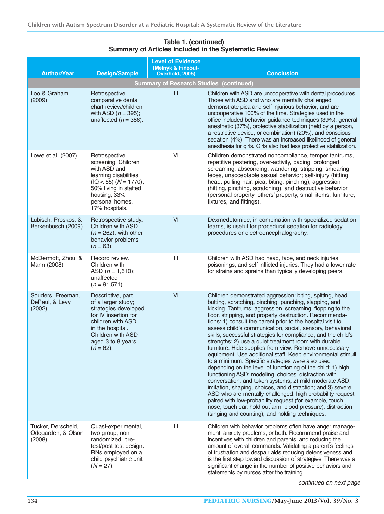| <b>Author/Year</b>                                 | <b>Design/Sample</b>                                                                                                                                                                       | <b>Level of Evidence</b><br>(Melnyk & Fineout-<br>Overhold, 2005) | <b>Conclusion</b>                                                                                                                                                                                                                                                                                                                                                                                                                                                                                                                                                                                                                                                                                                                                                                                                                                                                                                                                                                                                                                                                                                                                                       |
|----------------------------------------------------|--------------------------------------------------------------------------------------------------------------------------------------------------------------------------------------------|-------------------------------------------------------------------|-------------------------------------------------------------------------------------------------------------------------------------------------------------------------------------------------------------------------------------------------------------------------------------------------------------------------------------------------------------------------------------------------------------------------------------------------------------------------------------------------------------------------------------------------------------------------------------------------------------------------------------------------------------------------------------------------------------------------------------------------------------------------------------------------------------------------------------------------------------------------------------------------------------------------------------------------------------------------------------------------------------------------------------------------------------------------------------------------------------------------------------------------------------------------|
|                                                    |                                                                                                                                                                                            | <b>Summary of Research Studies (continued)</b>                    |                                                                                                                                                                                                                                                                                                                                                                                                                                                                                                                                                                                                                                                                                                                                                                                                                                                                                                                                                                                                                                                                                                                                                                         |
| Loo & Graham<br>(2009)                             | Retrospective,<br>comparative dental<br>chart review/children<br>with ASD $(n = 395)$ ;<br>unaffected ( $n = 386$ ).                                                                       | III                                                               | Children with ASD are uncooperative with dental procedures.<br>Those with ASD and who are mentally challenged<br>demonstrate pica and self-injurious behavior, and are<br>uncooperative 100% of the time. Strategies used in the<br>office included behavior guidance techniques (39%), general<br>anesthetic (37%), protective stabilization (held by a person,<br>a restrictive device, or combination) (20%), and conscious<br>sedation (4%). There was an increased likelihood of general<br>anesthesia for girls. Girls also had less protective stabilization.                                                                                                                                                                                                                                                                                                                                                                                                                                                                                                                                                                                                    |
| Lowe et al. (2007)                                 | Retrospective<br>screening. Children<br>with ASD and<br>learning disabilities<br>$(IQ < 55) (N = 1770);$<br>50% living in staffed<br>housing, 33%<br>personal homes,<br>17% hospitals.     | VI                                                                | Children demonstrated noncompliance, temper tantrums,<br>repetitive pestering, over-activity, pacing, prolonged<br>screaming, absconding, wandering, stripping, smearing<br>feces, unacceptable sexual behavior; self-injury (hitting<br>head, pulling hair, pica, biting, pinching), aggression<br>(hitting, pinching, scratching), and destructive behavior<br>(personal property, others' property, small items, furniture,<br>fixtures, and fittings).                                                                                                                                                                                                                                                                                                                                                                                                                                                                                                                                                                                                                                                                                                              |
| Lubisch, Proskos, &<br>Berkenbosch (2009)          | Retrospective study.<br>Children with ASD<br>$(n = 262)$ ; with other<br>behavior problems<br>$(n = 63)$ .                                                                                 | VI                                                                | Dexmedetomide, in combination with specialized sedation<br>teams, is useful for procedural sedation for radiology<br>procedures or electroencephalography.                                                                                                                                                                                                                                                                                                                                                                                                                                                                                                                                                                                                                                                                                                                                                                                                                                                                                                                                                                                                              |
| McDermott, Zhou, &<br>Mann (2008)                  | Record review.<br>Children with<br>ASD $(n = 1,610)$ ;<br>unaffected<br>$(n = 91,571)$ .                                                                                                   | $\mathbf{III}$                                                    | Children with ASD had head, face, and neck injuries;<br>poisonings; and self-inflicted injuries. They had a lower rate<br>for strains and sprains than typically developing peers.                                                                                                                                                                                                                                                                                                                                                                                                                                                                                                                                                                                                                                                                                                                                                                                                                                                                                                                                                                                      |
| Souders, Freeman,<br>DePaul, & Levy<br>(2002)      | Descriptive, part<br>of a larger study;<br>strategies developed<br>for IV insertion for<br>children with ASD<br>in the hospital.<br>Children with ASD<br>aged 3 to 8 years<br>$(n = 62)$ . | VI                                                                | Children demonstrated aggression: biting, spitting, head<br>butting, scratching, pinching, punching, slapping, and<br>kicking. Tantrums: aggression, screaming, flopping to the<br>floor, stripping, and property destruction. Recommenda-<br>tions: 1) consult the parent prior to the hospital visit to<br>assess child's communication, social, sensory, behavioral<br>skills; successful strategies for compliance; and the child's<br>strengths; 2) use a quiet treatment room with durable<br>furniture. Hide supplies from view. Remove unnecessary<br>equipment. Use additional staff. Keep environmental stimuli<br>to a minimum. Specific strategies were also used<br>depending on the level of functioning of the child: 1) high<br>functioning ASD: modeling, choices, distraction with<br>conversation, and token systems; 2) mild-moderate ASD:<br>imitation, shaping, choices, and distraction; and 3) severe<br>ASD who are mentally challenged: high probability request<br>paired with low-probability request (for example, touch<br>nose, touch ear, hold out arm, blood pressure), distraction<br>(singing and counting), and holding techniques. |
| Tucker, Derscheid,<br>Odegarden, & Olson<br>(2008) | Quasi-experimental,<br>two-group, non-<br>randomized, pre-<br>test/post-test design.<br>RNs employed on a<br>child psychiatric unit<br>$(N = 27)$ .                                        | $\ensuremath{\mathsf{III}}\xspace$                                | Children with behavior problems often have anger manage-<br>ment, anxiety problems, or both. Recommend praise and<br>incentives with children and parents, and reducing the<br>amount of overall commands. Validating a parent's feelings<br>of frustration and despair aids reducing defensiveness and<br>is the first step toward discussion of strategies. There was a<br>significant change in the number of positive behaviors and<br>statements by nurses after the training.                                                                                                                                                                                                                                                                                                                                                                                                                                                                                                                                                                                                                                                                                     |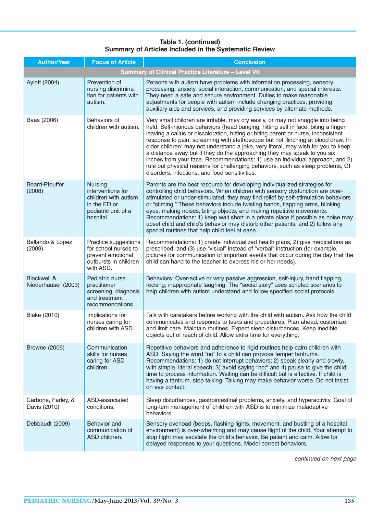| <b>Author/Year</b>                            | <b>Focus of Article</b>                                                                                         | <b>Conclusion</b>                                                                                                                                                                                                                                                                                                                                                                                                                                                                                                                                                                                                                                                                                                                        |
|-----------------------------------------------|-----------------------------------------------------------------------------------------------------------------|------------------------------------------------------------------------------------------------------------------------------------------------------------------------------------------------------------------------------------------------------------------------------------------------------------------------------------------------------------------------------------------------------------------------------------------------------------------------------------------------------------------------------------------------------------------------------------------------------------------------------------------------------------------------------------------------------------------------------------------|
|                                               |                                                                                                                 | Summary of Clinical Practice Literature - Level VII                                                                                                                                                                                                                                                                                                                                                                                                                                                                                                                                                                                                                                                                                      |
| Aylott (2004)                                 | Prevention of<br>nursing discrimina-<br>tion for patients with<br>autism.                                       | Persons with autism have problems with information processing, sensory<br>processing, anxiety, social interaction, communication, and special interests.<br>They need a safe and secure environment. Duties to make reasonable<br>adjustments for people with autism include changing practices, providing<br>auxiliary aids and services, and providing services by alternate methods.                                                                                                                                                                                                                                                                                                                                                  |
| Baas (2006)                                   | Behaviors of<br>children with autism.                                                                           | Very small children are irritable, may cry easily, or may not snuggle into being<br>held. Self-injurious behaviors (head banging, hitting self in face, biting a finger<br>leaving a callus or discoloration, hitting or biting parent or nurse, inconsistent<br>response to pain, screaming with stethoscope but not flinching at blood draw. In<br>older children: may not understand a joke, very literal, may wish for you to keep<br>a distance away but if they do the approaching they may speak to you six<br>inches from your face. Recommendations: 1) use an individual approach, and 2)<br>rule out physical reasons for challenging behaviors, such as sleep problems, GI<br>disorders, infections, and food sensitivities. |
| <b>Beard-Pfeuffer</b><br>(2008)               | <b>Nursing</b><br>interventions for<br>children with autism<br>in the ED or<br>pediatric unit of a<br>hospital. | Parents are the best resource for developing individualized strategies for<br>controlling child behaviors. When children with sensory dysfunction are over-<br>stimulated or under-stimulated, they may find relief by self-stimulation behaviors<br>or "stiming." These behaviors include twisting hands, flapping arms, blinking<br>eyes, making noises, biting objects, and making repetitive movements.<br>Recommendations: 1) keep wait short in a private place if possible as noise may<br>upset child and child's behavior may disturb other patients, and 2) follow any<br>special routines that help child feel at ease.                                                                                                       |
| Bellando & Lopez<br>(2009)                    | Practice suggestions<br>for school nurses to<br>prevent emotional<br>outbursts in children<br>with ASD.         | Recommendations: 1) create individualized health plans, 2) give medications as<br>prescribed, and (3) use "visual" instead of "verbal" instruction (for example,<br>pictures for communication of important events that occur during the day that the<br>child can hand to the teacher to express his or her needs).                                                                                                                                                                                                                                                                                                                                                                                                                     |
| <b>Blackwell &amp;</b><br>Niederhauser (2003) | Pediatric nurse<br>practitioner<br>screening, diagnosis<br>and treatment<br>recommendations.                    | Behaviors: Over-active or very passive aggression, self-injury, hand flapping,<br>rocking, inappropriate laughing. The "social story" uses scripted scenarios to<br>help children with autism understand and follow specified social protocols.                                                                                                                                                                                                                                                                                                                                                                                                                                                                                          |
| Blake (2010)                                  | Implications for<br>nurses caring for<br>children with ASD.                                                     | Talk with caretakers before working with the child with autism. Ask how the child<br>communicates and responds to tasks and procedures. Plan ahead, customize,<br>and limit care. Maintain routines. Expect sleep disturbances. Keep inedible<br>objects out of reach of child. Allow extra time for everything.                                                                                                                                                                                                                                                                                                                                                                                                                         |
| <b>Browne (2006)</b>                          | Communication<br>skills for nurses<br>caring for ASD<br>children.                                               | Repetitive behaviors and adherence to rigid routines help calm children with<br>ASD. Saying the word "no" to a child can provoke temper tantrums.<br>Recommendations: 1) do not interrupt behaviors; 2) speak clearly and slowly,<br>with simple, literal speech; 3) avoid saying "no;" and 4) pause to give the child<br>time to process information. Waiting can be difficult but is effective. If child is<br>having a tantrum, stop talking. Talking may make behavior worse. Do not insist<br>on eye contact.                                                                                                                                                                                                                       |
| Carbone, Farley, &<br>Davis (2010)            | ASD-associated<br>conditions.                                                                                   | Sleep disturbances, gastrointestinal problems, anxiety, and hyperactivity. Goal of<br>long-tem management of children with ASD is to minimize maladaptive<br>behaviors.                                                                                                                                                                                                                                                                                                                                                                                                                                                                                                                                                                  |
| Debbaudt (2009)                               | Behavior and<br>communication of<br>ASD children.                                                               | Sensory overload (beeps, flashing lights, movement, and bustling of a hospital<br>environment) is over-whelming and may cause flight of the child. Your attempt to<br>stop flight may escalate the child's behavior. Be patient and calm. Allow for<br>delayed responses to your questions. Model correct behaviors.                                                                                                                                                                                                                                                                                                                                                                                                                     |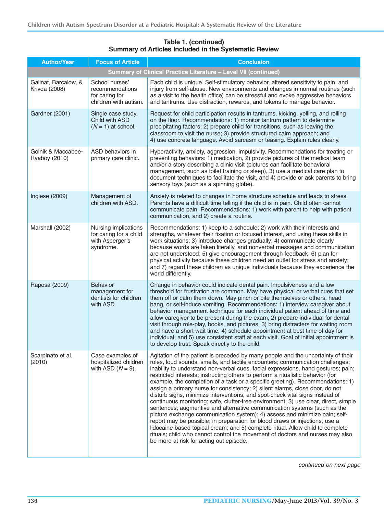| <b>Author/Year</b>                    | <b>Focus of Article</b>                                                        | <b>Conclusion</b>                                                                                                                                                                                                                                                                                                                                                                                                                                                                                                                                                                                                                                                                                                                                                                                                                                                                                                                                                                                                                                                                                                                         |
|---------------------------------------|--------------------------------------------------------------------------------|-------------------------------------------------------------------------------------------------------------------------------------------------------------------------------------------------------------------------------------------------------------------------------------------------------------------------------------------------------------------------------------------------------------------------------------------------------------------------------------------------------------------------------------------------------------------------------------------------------------------------------------------------------------------------------------------------------------------------------------------------------------------------------------------------------------------------------------------------------------------------------------------------------------------------------------------------------------------------------------------------------------------------------------------------------------------------------------------------------------------------------------------|
|                                       |                                                                                | Summary of Clinical Practice Literature - Level VII (continued)                                                                                                                                                                                                                                                                                                                                                                                                                                                                                                                                                                                                                                                                                                                                                                                                                                                                                                                                                                                                                                                                           |
| Galinat, Barcalow, &<br>Krivda (2008) | School nurses'<br>recommendations<br>for caring for<br>children with autism.   | Each child is unique. Self-stimulatory behavior, altered sensitivity to pain, and<br>injury from self-abuse. New environments and changes in normal routines (such<br>as a visit to the health office) can be stressful and evoke aggressive behaviors<br>and tantrums. Use distraction, rewards, and tokens to manage behavior.                                                                                                                                                                                                                                                                                                                                                                                                                                                                                                                                                                                                                                                                                                                                                                                                          |
| Gardner (2001)                        | Single case study.<br>Child with ASD<br>$(N = 1)$ at school.                   | Request for child participation results in tantrums, kicking, yelling, and rolling<br>on the floor. Recommendations: 1) monitor tantrum pattern to determine<br>precipitating factors; 2) prepare child for transitions, such as leaving the<br>classroom to visit the nurse; 3) provide structured calm approach; and<br>4) use concrete language. Avoid sarcasm or teasing. Explain rules clearly.                                                                                                                                                                                                                                                                                                                                                                                                                                                                                                                                                                                                                                                                                                                                      |
| Golnik & Maccabee-<br>Ryaboy (2010)   | ASD behaviors in<br>primary care clinic.                                       | Hyperactivity, anxiety, aggression, impulsivity. Recommendations for treating or<br>preventing behaviors: 1) medication, 2) provide pictures of the medical team<br>and/or a story describing a clinic visit (pictures can facilitate behavioral<br>management, such as toilet training or sleep), 3) use a medical care plan to<br>document techniques to facilitate the visit, and 4) provide or ask parents to bring<br>sensory toys (such as a spinning globe).                                                                                                                                                                                                                                                                                                                                                                                                                                                                                                                                                                                                                                                                       |
| Inglese (2009)                        | Management of<br>children with ASD.                                            | Anxiety is related to changes in home structure schedule and leads to stress.<br>Parents have a difficult time telling if the child is in pain. Child often cannot<br>communicate pain. Recommendations: 1) work with parent to help with patient<br>communication, and 2) create a routine.                                                                                                                                                                                                                                                                                                                                                                                                                                                                                                                                                                                                                                                                                                                                                                                                                                              |
| Marshall (2002)                       | Nursing implications<br>for caring for a child<br>with Asperger's<br>syndrome. | Recommendations: 1) keep to a schedule; 2) work with their interests and<br>strengths, whatever their fixation or focused interest, and using these skills in<br>work situations; 3) introduce changes gradually; 4) communicate clearly<br>because words are taken literally, and nonverbal messages and communication<br>are not understood; 5) give encouragement through feedback; 6) plan for<br>physical activity because these children need an outlet for stress and anxiety;<br>and 7) regard these children as unique individuals because they experience the<br>world differently.                                                                                                                                                                                                                                                                                                                                                                                                                                                                                                                                             |
| Raposa (2009)                         | Behavior<br>management for<br>dentists for children<br>with ASD.               | Change in behavior could indicate dental pain. Impulsiveness and a low<br>threshold for frustration are common. May have physical or verbal cues that set<br>them off or calm them down. May pinch or bite themselves or others, head<br>bang, or self-induce vomiting. Recommendations: 1) interview caregiver about<br>behavior management technique for each individual patient ahead of time and<br>allow caregiver to be present during the exam, 2) prepare individual for dental<br>visit through role-play, books, and pictures, 3) bring distracters for waiting room<br>and have a short wait time, 4) schedule appointment at best time of day for<br>individual; and 5) use consistent staff at each visit. Goal of initial appointment is<br>to develop trust. Speak directly to the child.                                                                                                                                                                                                                                                                                                                                  |
| Scarpinato et al.<br>(2010)           | Case examples of<br>hospitalized children<br>with ASD $(N = 9)$ .              | Agitation of the patient is preceded by many people and the uncertainty of their<br>roles, loud sounds, smells, and tactile encounters; communication challenges;<br>inability to understand non-verbal cues, facial expressions, hand gestures; pain;<br>restricted interests; instructing others to perform a ritualistic behavior (for<br>example, the completion of a task or a specific greeting). Recommendations: 1)<br>assign a primary nurse for consistency; 2) silent alarms, close door, do not<br>disturb signs, minimize interventions, and spot-check vital signs instead of<br>continuous monitoring; safe, clutter-free environment; 3) use clear, direct, simple<br>sentences; augmentive and alternative communication systems (such as the<br>picture exchange communication system); 4) assess and minimize pain; self-<br>report may be possible; in preparation for blood draws or injections, use a<br>lidocaine-based topical cream; and 5) complete ritual. Allow child to complete<br>rituals; child who cannot control the movement of doctors and nurses may also<br>be more at risk for acting out episode. |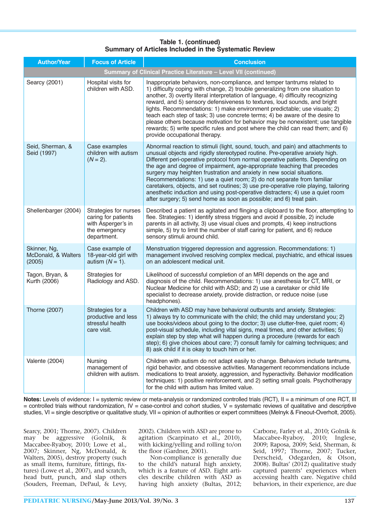| <b>Author/Year</b>                                              | <b>Focus of Article</b>                                                                            | <b>Conclusion</b>                                                                                                                                                                                                                                                                                                                                                                                                                                                                                                                                                                                                                                                                                                                 |  |  |
|-----------------------------------------------------------------|----------------------------------------------------------------------------------------------------|-----------------------------------------------------------------------------------------------------------------------------------------------------------------------------------------------------------------------------------------------------------------------------------------------------------------------------------------------------------------------------------------------------------------------------------------------------------------------------------------------------------------------------------------------------------------------------------------------------------------------------------------------------------------------------------------------------------------------------------|--|--|
| Summary of Clinical Practice Literature - Level VII (continued) |                                                                                                    |                                                                                                                                                                                                                                                                                                                                                                                                                                                                                                                                                                                                                                                                                                                                   |  |  |
| Searcy (2001)                                                   | Hospital visits for<br>children with ASD.                                                          | Inappropriate behaviors, non-compliance, and temper tantrums related to<br>1) difficulty coping with change, 2) trouble generalizing from one situation to<br>another, 3) overtly literal interpretation of language, 4) difficulty recognizing<br>reward, and 5) sensory defensiveness to textures, loud sounds, and bright<br>lights. Recommendations: 1) make environment predictable; use visuals; 2)<br>teach each step of task; 3) use concrete terms; 4) be aware of the desire to<br>please others because motivation for behavior may be nonexistent; use tangible<br>rewards; 5) write specific rules and post where the child can read them; and 6)<br>provide occupational therapy.                                   |  |  |
| Seid, Sherman, &<br>Seid (1997)                                 | Case examples<br>children with autism<br>$(N = 2)$ .                                               | Abnormal reaction to stimuli (light, sound, touch, and pain) and attachments to<br>unusual objects and rigidly stereotyped routine. Pre-operative anxiety high.<br>Different peri-operative protocol from normal operative patients. Depending on<br>the age and degree of impairment, age-appropriate teaching that precedes<br>surgery may heighten frustration and anxiety in new social situations.<br>Recommendations: 1) use a quiet room; 2) do not separate from familiar<br>caretakers, objects, and set routines; 3) use pre-operative role playing, tailoring<br>anesthetic induction and using post-operative distracters; 4) use a quiet room<br>after surgery; 5) send home as soon as possible; and 6) treat pain. |  |  |
| Shellenbarger (2004)                                            | Strategies for nurses<br>caring for patients<br>with Asperger's in<br>the emergency<br>department. | Described a patient as agitated and flinging a clipboard to the floor, attempting to<br>flee. Strategies: 1) identify stress triggers and avoid if possible, 2) include<br>parents in all activity, 3) use visual clues and prompts, 4) keep instructions<br>simple, 5) try to limit the number of staff caring for patient, and 6) reduce<br>sensory stimuli around child.                                                                                                                                                                                                                                                                                                                                                       |  |  |
| Skinner, Ng,<br>McDonald, & Walters<br>(2005)                   | Case example of<br>18-year-old girl with<br>autism $(N = 1)$ .                                     | Menstruation triggered depression and aggression. Recommendations: 1)<br>management involved resolving complex medical, psychiatric, and ethical issues<br>on an adolescent medical unit.                                                                                                                                                                                                                                                                                                                                                                                                                                                                                                                                         |  |  |
| Tagon, Bryan, &<br>Kurth (2006)                                 | Strategies for<br>Radiology and ASD.                                                               | Likelihood of successful completion of an MRI depends on the age and<br>diagnosis of the child. Recommendations: 1) use anesthesia for CT, MRI, or<br>Nuclear Medicine for child with ASD; and 2) use a caretaker or child life<br>specialist to decrease anxiety, provide distraction, or reduce noise (use<br>headphones).                                                                                                                                                                                                                                                                                                                                                                                                      |  |  |
| Thorne (2007)                                                   | Strategies for a<br>productive and less<br>stressful health<br>care visit.                         | Children with ASD may have behavioral outbursts and anxiety. Strategies:<br>1) always try to communicate with the child; the child may understand you; 2)<br>use books/videos about going to the doctor; 3) use clutter-free, quiet room; 4)<br>post-visual schedule, including vital signs, meal times, and other activities; 5)<br>explain step by step what will happen during a procedure (rewards for each<br>step); 6) give choices about care; 7) consult family for calming techniques; and<br>8) ask child if it is okay to touch him or her.                                                                                                                                                                            |  |  |
| Valente (2004)                                                  | Nursing<br>management of<br>children with autism.                                                  | Children with autism do not adapt easily to change. Behaviors include tantrums,<br>rigid behavior, and obsessive activities. Management recommendations include<br>medications to treat anxiety, aggression, and hyperactivity. Behavior modification<br>techniques: 1) positive reinforcement, and 2) setting small goals. Psychotherapy<br>for the child with autism has limited value.                                                                                                                                                                                                                                                                                                                                         |  |  |

Notes: Levels of evidence: I = systemic review or meta-analysis or randomized controlled trials (RCT), II = a minimum of one RCT, III  $=$  controlled trials without randomization, IV  $=$  case-control and cohort studies, V  $=$  systematic reviews of qualitative and descriptive studies, VI = single descriptive or qualitative study, VII = opinion of authorities or expert committees (Melnyk & Fineout-Overholt, 2005).

Searcy, 2001; Thorne, 2007). Children may be aggressive (Golnik, & Maccabee-Ryaboy, 2010; Lowe et al., 2007; Skinner, Ng, McDonald, & Walters, 2005), destroy property (such as small items, furniture, fittings, fixtures) (Lowe et al., 2007), and scratch, head butt, punch, and slap others (Souders, Freeman, DePaul, & Levy, 2002). Children with ASD are prone to agitation (Scarpinato et al., 2010), with kicking/yelling and rolling to/on the floor (Gardner, 2001).

Non-compliance is generally due to the child's natural high anxiety, which is a feature of ASD. Eight articles describe children with ASD as having high anxiety (Bultas, 2012;

Carbone, Farley et al., 2010; Golnik & Maccabee-Ryaboy, 2010; Inglese, 2009; Raposa, 2009; Seid, Sherman, & Seid, 1997; Thorne, 2007; Tucker, Derscheid, Odegarden, & Olson, 2008). Bultas' (2012) qualitative study captured parents' experiences when accessing health care. Negative child behaviors, in their experience, are due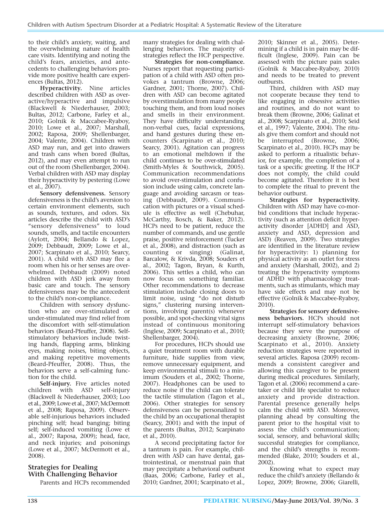to their child's anxiety, waiting, and the overwhelming nature of health care visits. Identifying and noting the child's fears, anxieties, and antecedents to challenging behaviors provide more positive health care experiences (Bultas, 2012).

**Hyperactivity.** Nine articles described children with ASD as overactive/hyperactive and impulsive (Blackwell & Niederhauser, 2003; Bultas, 2012; Carbone, Farley et al., 2010; Golnik & Maccabee-Ryaboy, 2010; Lowe et al., 2007; Marshall, 2002; Raposa, 2009; Shellenbarger, 2004; Valente, 2004). Children with ASD may run, and get into drawers and trash cans when bored (Bultas, 2012), and may even attempt to run out of the room (Shellenbarger, 2004). Verbal children with ASD may display their hyperactivity by pestering (Lowe et al., 2007).

**Sensory defensiveness.** Sensory defensiveness is the child's aversion to certain environment elements, such as sounds, textures, and odors. Six articles describe the child with ASD's "sensory defensiveness" to loud sounds, smells, and tactile encounters (Aylott, 2004; Bellando & Lopez, 2009; Debbaudt, 2009; Lowe et al., 2007; Scarpinato et al., 2010; Searcy, 2001). A child with ASD may flee a room when his or her senses are overwhelmed. Debbaudt (2009) noted children with ASD jerk away from basic care and touch. The sensory defensiveness may be the antecedent to the child's non-compliance.

Children with sensory dysfunction who are over-stimulated or under-stimulated may find relief from the discomfort with self-stimulation behaviors (Beard-Pfeuffer, 2008). Selfstimulatory behaviors include twisting hands, flapping arms, blinking eyes, making noises, biting objects, and making repetitive movements (Beard-Pfeuffer, 2008). Thus, the behaviors serve a self-calming function for the child.

**Self-injury.** Five articles noted children with ASD self-injury (Blackwell & Niederhauser, 2003; Loo et al., 2009; Lowe et al., 2007; McDermott et al., 2008; Raposa, 2009). Observ able self-injurious behaviors included pinching self; head banging; biting self; self-induced vomiting (Lowe et al., 2007; Raposa, 2009); head, face, and neck injuries; and poisonings (Lowe et al., 2007; McDermott et al., 2008).

#### **Strategies for Dealing With Challenging Behavior**

Parents and HCPs recommended

many strategies for dealing with challenging behaviors. The majority of strategies reflect the HCP perspective.

**Strategies for non-compliance.** Nurses report that requesting participation of a child with ASD often provokes a tantrum (Browne, 2006; Gardner, 2001; Thorne, 2007). Children with ASD can become agitated by overstimulation from many people touching them, and from loud noises and smells in their environment. They have difficulty understanding non-verbal cues, facial expressions, and hand gestures during these encounters (Scarpinato et al., 2010; Searcy, 2001). Agitation can progress to an emotional meltdown if the child continues to be over-stimulated (Smith-Myles & Southwick, 2005). Communication recommendations to avoid over-stimulation and confusion include using calm, concrete language and avoiding sarcasm or teasing (Debbaudt, 2009). Communication with pictures or a visual schedule is effective as well (Chebuhar, McCarthy, Bosch, & Baker, 2012). HCPs need to be patient, reduce the number of commands, and use gentle praise, positive reinforcement (Tucker et al., 2008), and distraction (such as counting or singing) (Galinat, Barcalow, & Krivda, 2008; Souders et al., 2002; Tagon, Bryan, & Kurth, 2006). This settles a child, who can now focus on something familiar. Other recommendations to decrease stimulation include closing doors to limit noise, using "do not disturb signs," clustering nursing interventions, involving parent(s) whenever possible, and spot-checking vital signs instead of continuous monitoring (Inglese, 2009; Scarpinato et al., 2010; Shellenbarger, 2004).

For procedures, HCPs should use a quiet treatment room with durable furniture, hide supplies from view, remove unnecessary equipment, and keep environmental stimuli to a minimum (Souders et al., 2002; Thorne, 2007). Headphones can be used to reduce noise if the child can tolerate the tactile stimulation (Tagon et al., 2006). Other strategies for sensory defensiveness can be personalized to the child by an occupational therapist (Searcy, 2001) and with the input of the parents (Bultas, 2012; Scarpinato et al., 2010).

A second precipitating factor for a tantrum is pain. For example, children with ASD can have dental, gastrointestinal, or menstrual pain that may precipitate a behavioral outburst (Baas, 2006; Carbone, Farley et al., 2010; Gardner, 2001; Scarpinato et al.,

2010; Skinner et al., 2005). Determining if a child is in pain may be difficult (Inglese, 2009). Pain can be assessed with the picture pain scales (Golnik & Maccabee-Ryaboy, 2010) and needs to be treated to prevent outbursts.

Third, children with ASD may not cooperate because they tend to like engaging in obsessive activities and routines, and do not want to break them (Browne, 2006; Galinat et al., 2008; Scarpinato et al., 2010; Seid et al., 1997; Valente, 2004). The rituals give them comfort and should not be interrupted (Browne, 2006; Scarpinato et al., 2010). HCPs may be asked to perform a ritualistic behavior, for example, the completion of a task or a specific greeting. If the HCP does not comply, the child could become agitated. Therefore it is best to complete the ritual to prevent the behavior outburst.

**Strategies for hyperactivity.** Children with ASD may have co-morbid conditions that include hyperactivity (such as attention deficit hyperactivity disorder [ADHD] and ASD, anxiety and ASD, depression and ASD) (Reaven, 2009). Two strategies are identified in the literature review for hyperactivity: 1) planning for physical activity as an outlet for stress and anxiety (Marshall, 2002), and 2) treating the hyperactivity symptoms of ADHD with pharmacology treatments, such as stimulants, which may have side effects and may not be effective (Golnik & Maccabee-Ryaboy, 2010).

**Strategies for sensory defensiveness behaviors.** HCPs should not interrupt self-stimulatory behaviors because they serve the purpose of decreasing anxiety (Browne, 2006; Scarpinato et al., 2010). Anxiety reduction strategies were reported in several articles. Raposa (2009) recommends a consistent caregiver and allowing this caregiver to be present during medical procedures. Similarly, Tagon et al. (2006) recommend a caretaker or child life specialist to reduce anxiety and provide distraction. Parental presence generally helps calm the child with ASD. Moreover, planning ahead by consulting the parent prior to the hospital visit to assess the child's communication; social, sensory, and behavioral skills; successful strategies for compliance, and the child's strengths is recommended (Blake, 2010; Souders et al., 2002).

Knowing what to expect may reduce the child's anxiety (Bellando & Lopez, 2009; Browne, 2006; Giarelli,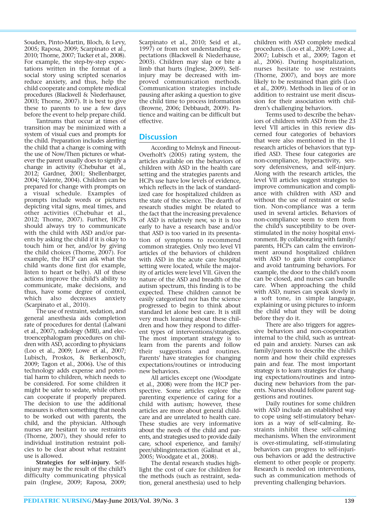Souders, Pinto-Martin, Bloch, & Levy, 2005; Raposa, 2009; Scarpinato et al., 2010; Thorne, 2007; Tucker et al., 2008). For example, the step-by-step expectations written in the format of a social story using scripted scenarios reduce anxiety, and thus, help the child cooperate and complete medical procedures (Blackwell & Niederhauser, 2003; Thorne, 2007). It is best to give these to parents to use a few days before the event to help prepare child.

Tantrums that occur at times of transition may be minimized with a system of visual cues and prompts for the child. Preparation includes alerting the child that a change is coming with the use of Now/Then pictures or whatever the parent usually does to signify a change in activity (Chebuhar et al., 2012; Gardner, 2001; Shellenbarger, 2004; Valente, 2004). Children can be prepared for change with prompts on a visual schedule. Examples of prompts include words or pictures depicting vital signs, meal times, and other activities (Chebuhar et al., 2012; Thorne, 2007). Further, HCPs should always try to communicate with the child with ASD and/or parents by asking the child if it is okay to touch him or her, and/or by giving the child choices (Thorne, 2007). For example, the HCP can ask what the child wants done first (for example, listen to heart or belly). All of these actions improve the child's ability to communicate, make decisions, and thus, have some degree of control, which also decreases anxiety (Scarpinato et al., 2010).

The use of restraint, sedation, and general anesthesia aids completion rate of procedures for dental (Lalwani et al., 2007), radiology (MRI), and electro encephalogram procedures on children with ASD, according to physicians (Loo et al., 2009; Lowe et al., 2007; Lubisch, Proskos, & Berkenbosch, 2009; Tagon et al., 2006**).** Use of this technology adds expense and potential harm to children, which needs to be considered. For some children it might be safer to sedate, while others can cooperate if properly prepared. The decision to use the additional measures is often something that needs to be worked out with parents, the child, and the physician. Although nurses are hesitant to use restraints (Thorne, 2007), they should refer to individual institution restraint policies to be clear about what restraint use is allowed.

**Strategies for self-injury.** Selfinjury may be the result of the child's difficulty communicating physical pain (Inglese, 2009; Raposa, 2009; Scarpinato et al., 2010; Seid et al., 1997) or from not understanding expectations (Blackwell & Niederhause, 2003). Children may slap or bite a limb that hurts (Inglese, 2009). Selfinjury may be decreased with improved communication methods. Communication strategies include pausing after asking a question to give the child time to process information (Browne, 2006; Debbaudt, 2009). Pa tience and waiting can be difficult but effective.

# **Discussion**

According to Melnyk and Fineout-Overholt's (2005) rating system, the articles available on the behaviors of children with ASD in the health care setting and the strategies parents and HCPs use have low levels of evidence, which reflects in the lack of standardized care for hospitalized children as the state of the science. The dearth of research studies might be related to the fact that the increasing prevalence of ASD is relatively new, so it is too early to have a research base and/or that ASD is too varied in its presentation of symptoms to recommend common strategies. Only two level VI articles of the behaviors of children with ASD in the acute care hospital setting were located, while the majority of articles were level VII. Given the nature of the ASD and breadth of the autism spectrum, this finding is to be expected. These children cannot be easily categorized nor has the science progressed to begin to think about standard let alone best care. It is still very much learning about these children and how they respond to different types of interventions/strategies. The most important strategy is to learn from the parents and follow their suggestions and routines. Parents' have strategies for changing expectations/routines or introducing new behaviors.

All articles except one (Woodgate et al., 2008) were from the HCP perspective. Some articles explore the parenting experience of caring for a child with autism; however, these articles are more about general childcare and are unrelated to health care. These studies are very informative about the needs of the child and parents, and strategies used to provide daily care, school experience, and family/ peer/siblinginteraction (Galinat et al., 2005; Woodgate et al., 2008).

The dental research studies highlight the cost of care for children for the methods (such as restraint, sedation, general anesthesia) used to help children with ASD complete medical procedures. (Loo et al., 2009; Lowe al., 2007; Lubisch et al., 2009; Tagon et al., 2006). During hospitalization, nurses hesitate to use restraints (Thorne, 2007), and boys are more likely to be restrained than girls (Loo et al., 2009). Methods in lieu of or in addition to restraint use merit discussion for their association with children's challenging behaviors.

Terms used to describe the behaviors of children with ASD from the 23 level VII articles in this review discerned four categories of behaviors that were also mentioned in the 11 research articles of behaviors that typified ASD. These four categories are non-compliance, hyperactivity, sensory defensiveness, and self-injury. Along with the research articles, the level VII articles suggest strategies to improve communication and compliance with children with ASD and without the use of restraint or sedation. Non-compliance was a term used in several articles. Behaviors of non-compliance seem to stem from the child's susceptibility to be overstimulated in the noisy hospital environment. By collaborating with family/ parents, HCPs can calm the environment around hospitalized children with ASD to gain their compliance and avoid tantruming behaviors. For example, the door to the child's room can be closed, and nurses can bundle care. When approaching the child with ASD, nurses can speak slowly in a soft tone, in simple language, explaining or using pictures to inform the child what they will be doing before they do it.

There are also triggers for aggressive behaviors and non-cooperation internal to the child, such as untreated pain and anxiety. Nurses can ask family/parents to describe the child's norm and how their child expresses pain and fear. The most important strategy is to learn strategies for changing expectations/routines and introducing new behaviors from the parents. Nurses should follow parent suggestions and routines.

Daily routines for some children with ASD include an established way to cope using self-stimulatory behaviors as a way of self-calming. Re straints inhibit these self-calming mechanisms. When the environment is over-stimulating, self-stimulating behaviors can progress to self-injurious behaviors or add the destructive element to other people or property. Research is needed on interventions, such as communication methods of preventing challenging behaviors.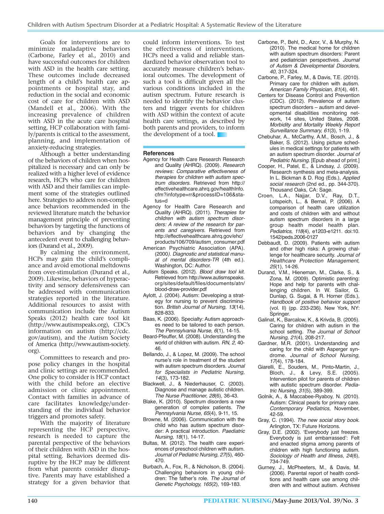Goals for interventions are to minimize maladaptive behaviors (Carbone, Farley et al., 2010) and have successful outcomes for children with ASD in the health care setting. These outcomes include decreased length of a child's health care appointments or hospital stay, and reduction in the social and economic cost of care for children with ASD (Mandell et al., 2006). With the increasing prevalence of children with ASD in the acute care hospital setting, HCP collaboration with family/parents is critical to the assessment, planning, and implementation of anxiety-reducing strategies.

Although a better understanding of the behaviors of children when hospitalized is necessary and can only be realized with a higher level of evidence research, HCPs who care for children with ASD and their families can implement some of the strategies outlined here. Strategies to address non-compliance behaviors recommended in the reviewed literature match the behavior management principle of preventing behaviors by targeting the functions of behaviors and by changing the antecedent event to challenging behaviors (Durand et al., 2009).

By calming the environment, HCPs may gain the child's compliance and avoid emotional meltdowns from over-stimulation (Durand et al., 2009). Likewise, behaviors of hyperactivity and sensory defensiveness can be addressed with communication strategies reported in the literature. Additional resources to assist with communication include the Autism Speaks (2012) health care tool kit (http://www.autismspeaks.org), CDC's information on autism (http://cdc. gov/autism), and the Autism Society of America (http://www.autism-society. org).

Committees to research and propose policy changes in the hospital and clinic settings are recommended. One policy to consider is HCP contact with the child before an elective admission or clinic appointment. Contact with families in advance of care facilitates knowledge/understanding of the individual behavior triggers and promotes safety.

With the majority of literature representing the HCP perspective, research is needed to capture the parental perspective of the behaviors of their children with ASD in the hospital setting. Behaviors deemed disruptive by the HCP may be different from what parents consider disruptive. Parents may have established a strategy for a given behavior that

could inform interventions. To test the effectiveness of interventions, HCPs need a valid and reliable standardized behavior observation tool to accurately measure children's behavioral outcomes. The development of such a tool is difficult given all the various conditions included in the autism spectrum. Future research is needed to identify the behavior clusters and trigger events for children with ASD within the context of acute health care settings, as described by both parents and providers, to inform the development of a tool.

#### **References**

- Agency for Health Care Research Research and Quality (AHRQ). (2009). Research reviews: Comparative effectiveness of therapies for children with autism spectrum disorders. Retrieved from http:// effectivehealthcare.ahrq.gov/healthInfo. cfm?infotype=rr&processID=106&status=d
- Agency for Health Care Research and Quality (AHRQ). (2011). Therapies for children with autism spectrum disorders: A review of the research for parents and caregivers. Retrieved from http://effectivehealthcare.ahrq.gov/ehc/ products/106/709/autism\_consumer.pdf
- American Psychiatric Association (APA). (2000). Diagnostic and statistical manual of mental disorders-TR (4th ed.). Washington, DC: Author.
- Autism Speaks. (2012). Blood draw tool kit. Retrieved from http://www.autismspeaks. org/sites/default/files/documents/atn/ blood-draw-provider.pdf
- Aylott, J. (2004). Autism: Developing a strategy for nursing to prevent discrimination. British Journal of Nursing, 13(14), 828-833.
- Baas, K. (2006). Specialty: Autism approaches need to be tailored to each person. The Pennsylvania Nurse, 6(1), 14-15.
- Beard-Pfeuffer, M. (2008). Understanding the world of children with autism. RN, 2, 40- 46.
- Bellando, J., & Lopez, M. (2009). The school nurse's role in treatment of the student with autism spectrum disorders. Journal for Specialists in Pediatric Nursing, 14(3), 173-182.
- Blackwell, J., & Niederhauser, C. (2003). Diagnose and manage autistic children. The Nurse Practitioner, 28(6), 36-43.
- Blake, K. (2010). Spectrum disorders a new generation of complex patients. The Pennsylvania Nurse, 65(4), 9-11, 15.
- Browne, M. (2006). Communication with the child who has autism spectrum disorder: A practical introduction. Paediatric Nursing, 18(1), 14-17.
- Bultas, M. (2012). The health care experiences of preschool children with autism. Journal of Pediatric Nursing, 27(5), 460- 470.
- Burbach, A., Fox, R., & Nicholson, B. (2004). Challenging behaviors in young children: The father's role. The Journal of Genetic Psychology, 165(2), 169-183.
- Carbone, P., Behl, D., Azor, V., & Murphy, N. (2010). The medical home for children with autism spectrum disorders: Parent and pediatrician perspectives. Journal of Autism & Developmental Disorders, 40, 317-324.
- Carbone, P., Farley, M., & Davis, T.E. (2010). Primary care for children with autism. American Family Physician, 81(4), 461.
- Centers for Disease Control and Prevention (CDC). (2012). Prevalence of autism spectrum disorders – autism and developmental disabilities monitoring network, 14 sites, United States, 2008. Morbidity and Mortality Weekly Report Surveillance Summary, 61(3), 1-19.
- Chebuhar, A., McCarthy, A.M., Bosch, J., & Baker, S. (2012). Using picture schedules in medical settings for patients with an autism spectrum disorder. Journal of Pediatric Nursing. [Epub ahead of print.]
- Cooper, H., Patel, E., & Lindsay, J. (2009). Research synthesis and meta-analysis. In L. Bickman & D. Rog (Eds.), Applied social research (2nd ed., pp. 344-370). Thousand Oaks, CA: Sage.
- Croen, L.A., Najjar, D.V., Ray, D.T., Lotspeich, L., & Bernal, P. (2006). A comparison of health care utilization and costs of children with and without autism spectrum disorders in a large group health model health plan. Pediatrics, 118(4), e1203-e1211. doi:10. 1542/peds.2006-0127
- Debbaudt, D. (2009). Patients with autism and other high risks: A growing challenge for healthcare security. Journal of Healthcare Protection Management, 25(1), 14-26.
- Durand, V.M., Hieneman, M., Clarke, S., & Zona, M. (2009). Optimistic parenting: Hope and help for parents with challenging children. In W. Sailor, G. Dunlap, G. Sugai, & R. Horner (Eds.), Handbook of positive behavior support (vol. II) (pp. 233-236). New York, NY: Springer.
- Galinat, K., Barcalow, K., & Krivda, B. (2005). Caring for children with autism in the school setting. The Journal of School Nursing, 21(4), 208-217.
- Gardner, M.R. (2001). Understanding and caring for the child with Asperger syndrome. Journal of School Nursing, 17(4), 178-184.
- Giarelli, E., Souders, M., Pinto-Martin, J., Bloch, J., & Levy, S.E. (2005). Intervention pilot for parents of children with autistic spectrum disorder. Pediatric Nursing, 31(5), 389-399.
- Golnik, A., & Maccabee-Ryaboy, N. (2010). Autism: Clinical pearls for primary care. Contemporary Pediatrics, November, 42-59.
- Gray, C. (1994). The new social story book. Arlington, TX: Future Horizons.
- Gray, D.E. (2002). 'Everybody just freezes. Everybody is just embarrassed': Felt and enacted stigma among parents of children with high functioning autism. Sociology of Health and Illness, 24(6), 734-749.
- Gurney, J., McPheeters, M., & Davis, M. (2006). Parental report of health conditions and health care use among children with and without autism. Archives